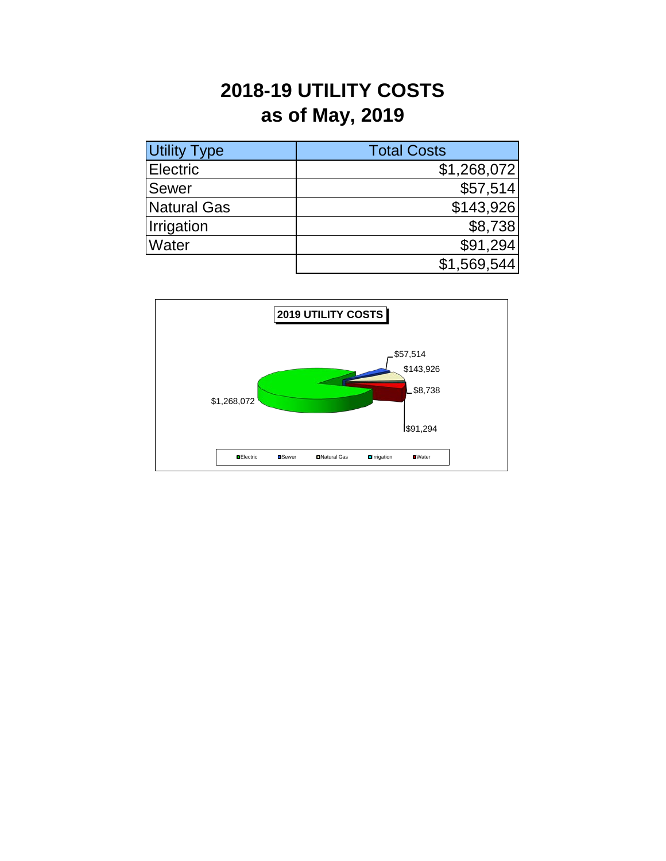## **2018-19 UTILITY COSTS as of May, 2019**

| <b>Utility Type</b> | <b>Total Costs</b> |
|---------------------|--------------------|
| <b>Electric</b>     | \$1,268,072        |
| <b>Sewer</b>        | \$57,514           |
| Natural Gas         | \$143,926          |
| Irrigation          | \$8,738            |
| <b>Water</b>        | \$91,294           |
|                     | \$1,569,544        |